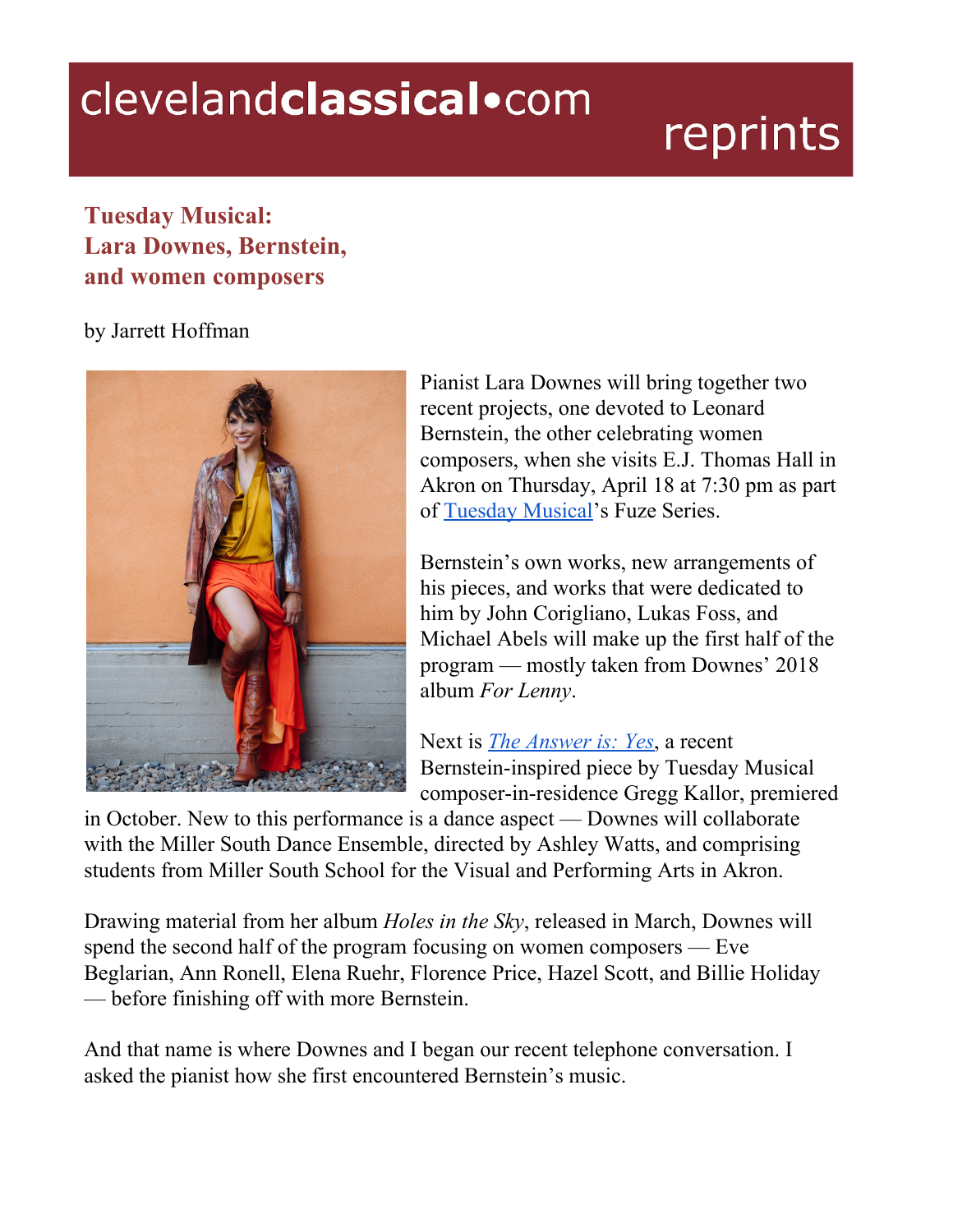## clevelandclassical.com

## reprints

## **Tuesday Musical: Lara Downes, Bernstein, and women composers**

## by Jarrett Hoffman



Pianist Lara Downes will bring together two recent projects, one devoted to Leonard Bernstein, the other celebrating women composers, when she visits E.J. Thomas Hall in Akron on Thursday, April 18 at 7:30 pm as part of [Tuesday](https://www.tuesdaymusical.org/performances/fuze/for-lenny/174/) Musical's Fuze Series.

Bernstein's own works, new arrangements of his pieces, and works that were dedicated to him by John Corigliano, Lukas Foss, and Michael Abels will make up the first half of the program — mostly taken from Downes' 2018 album *For Lenny*.

Next is *The [Answer](http://www.greggkallor.com/works-1/2018/10/8/the-answer-is-yes) is: Yes*, a recent Bernstein-inspired piece by Tuesday Musical composer-in-residence Gregg Kallor, premiered

in October. New to this performance is a dance aspect — Downes will collaborate with the Miller South Dance Ensemble, directed by Ashley Watts, and comprising students from Miller South School for the Visual and Performing Arts in Akron.

Drawing material from her album *Holes in the Sky*, released in March, Downes will spend the second half of the program focusing on women composers — Eve Beglarian, Ann Ronell, Elena Ruehr, Florence Price, Hazel Scott, and Billie Holiday — before finishing off with more Bernstein.

And that name is where Downes and I began our recent telephone conversation. I asked the pianist how she first encountered Bernstein's music.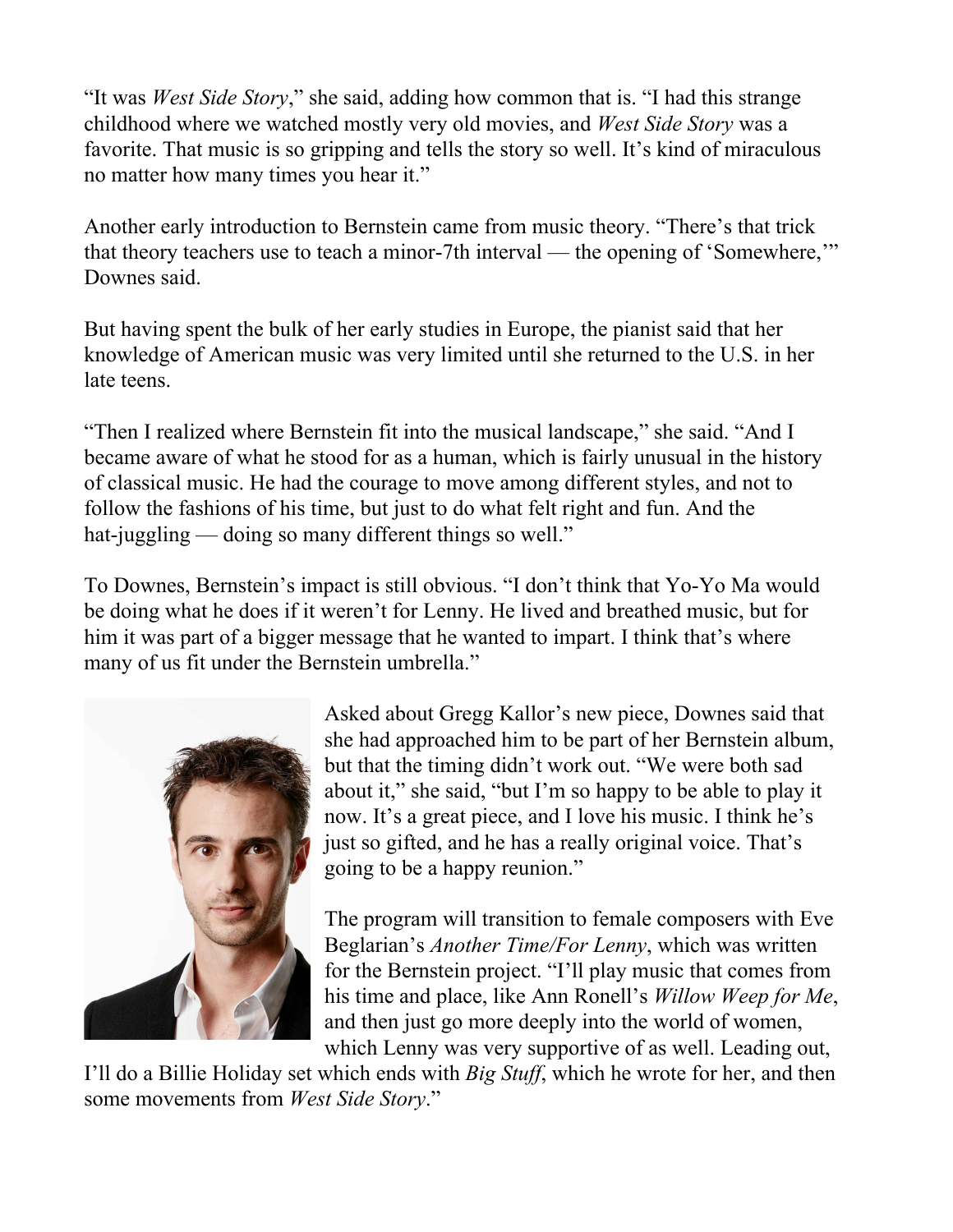"It was *West Side Story*," she said, adding how common that is. "I had this strange childhood where we watched mostly very old movies, and *West Side Story* was a favorite. That music is so gripping and tells the story so well. It's kind of miraculous no matter how many times you hear it."

Another early introduction to Bernstein came from music theory. "There's that trick that theory teachers use to teach a minor-7th interval — the opening of 'Somewhere,'" Downes said.

But having spent the bulk of her early studies in Europe, the pianist said that her knowledge of American music was very limited until she returned to the U.S. in her late teens.

"Then I realized where Bernstein fit into the musical landscape," she said. "And I became aware of what he stood for as a human, which is fairly unusual in the history of classical music. He had the courage to move among different styles, and not to follow the fashions of his time, but just to do what felt right and fun. And the hat-juggling — doing so many different things so well."

To Downes, Bernstein's impact is still obvious. "I don't think that Yo-Yo Ma would be doing what he does if it weren't for Lenny. He lived and breathed music, but for him it was part of a bigger message that he wanted to impart. I think that's where many of us fit under the Bernstein umbrella."



Asked about Gregg Kallor's new piece, Downes said that she had approached him to be part of her Bernstein album, but that the timing didn't work out. "We were both sad about it," she said, "but I'm so happy to be able to play it now. It's a great piece, and I love his music. I think he's just so gifted, and he has a really original voice. That's going to be a happy reunion."

The program will transition to female composers with Eve Beglarian's *Another Time/For Lenny*, which was written for the Bernstein project. "I'll play music that comes from his time and place, like Ann Ronell's *Willow Weep for Me*, and then just go more deeply into the world of women, which Lenny was very supportive of as well. Leading out,

I'll do a Billie Holiday set which ends with *Big Stuff*, which he wrote for her, and then some movements from *West Side Story*."